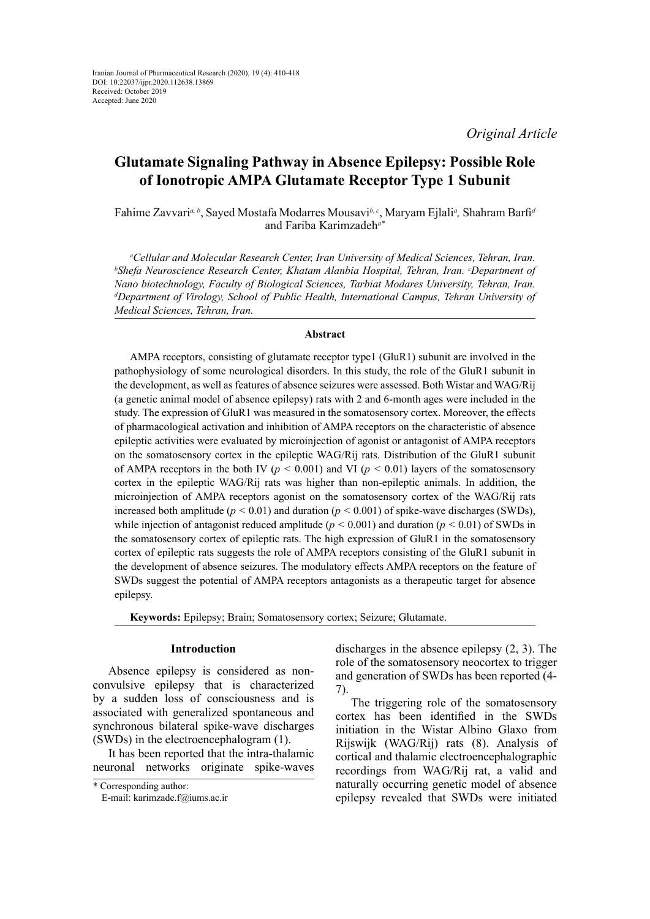*Original Article*

# **Glutamate Signaling Pathway in Absence Epilepsy: Possible Role of Ionotropic AMPA Glutamate Receptor Type 1 Subunit**

Fahime Zavvari*a, b*, Sayed Mostafa Modarres Mousavi*b, c*, Maryam Ejlali*<sup>a</sup> ,* Shahram Barfi*<sup>d</sup>* and Fariba Karimzadeh*a\**

*a Cellular and Molecular Research Center, Iran University of Medical Sciences, Tehran, Iran. b Shefa Neuroscience Research Center, Khatam Alanbia Hospital, Tehran, Iran. °Department of Nano biotechnology, Faculty of Biological Sciences, Tarbiat Modares University, Tehran, Iran. d Department of Virology, School of Public Health, International Campus, Tehran University of Medical Sciences, Tehran, Iran.*

# **Abstract**

AMPA receptors, consisting of glutamate receptor type1 (GluR1) subunit are involved in the pathophysiology of some neurological disorders. In this study, the role of the GluR1 subunit in the development, as well as features of absence seizures were assessed. Both Wistar and WAG/Rij (a genetic animal model of absence epilepsy) rats with 2 and 6-month ages were included in the study. The expression of GluR1 was measured in the somatosensory cortex. Moreover, the effects of pharmacological activation and inhibition of AMPA receptors on the characteristic of absence epileptic activities were evaluated by microinjection of agonist or antagonist of AMPA receptors on the somatosensory cortex in the epileptic WAG/Rij rats. Distribution of the GluR1 subunit of AMPA receptors in the both IV ( $p < 0.001$ ) and VI ( $p < 0.01$ ) layers of the somatosensory cortex in the epileptic WAG/Rij rats was higher than non-epileptic animals. In addition, the microinjection of AMPA receptors agonist on the somatosensory cortex of the WAG/Rij rats increased both amplitude ( $p < 0.01$ ) and duration ( $p < 0.001$ ) of spike-wave discharges (SWDs), while injection of antagonist reduced amplitude ( $p < 0.001$ ) and duration ( $p < 0.01$ ) of SWDs in the somatosensory cortex of epileptic rats. The high expression of GluR1 in the somatosensory cortex of epileptic rats suggests the role of AMPA receptors consisting of the GluR1 subunit in the development of absence seizures. The modulatory effects AMPA receptors on the feature of SWDs suggest the potential of AMPA receptors antagonists as a therapeutic target for absence epilepsy.

**Keywords:** Epilepsy; Brain; Somatosensory cortex; Seizure; Glutamate.

## **Introduction**

Absence epilepsy is considered as nonconvulsive epilepsy that is characterized by a sudden loss of consciousness and is associated with generalized spontaneous and synchronous bilateral spike-wave discharges (SWDs) in the electroencephalogram (1).

It has been reported that the intra-thalamic neuronal networks originate spike-waves

discharges in the absence epilepsy (2, 3). The role of the somatosensory neocortex to trigger and generation of SWDs has been reported (4- 7).

The triggering role of the somatosensory cortex has been identified in the SWDs initiation in the Wistar Albino Glaxo from Rijswijk (WAG/Rij) rats (8). Analysis of cortical and thalamic electroencephalographic recordings from WAG/Rij rat, a valid and naturally occurring genetic model of absence epilepsy revealed that SWDs were initiated

<sup>\*</sup> Corresponding author:

E-mail: karimzade.f@iums.ac.ir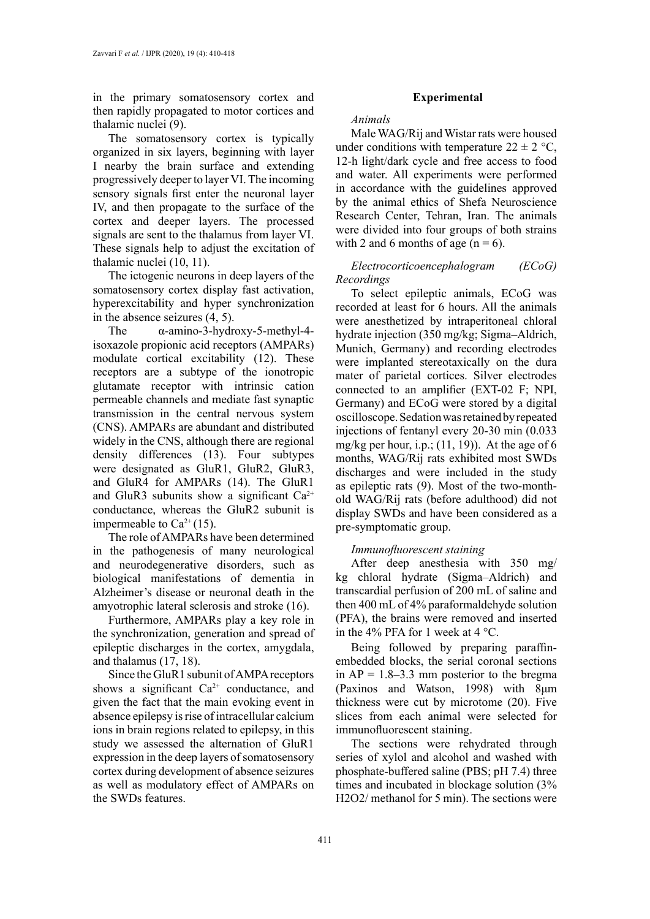in the primary somatosensory cortex and then rapidly propagated to motor cortices and thalamic nuclei (9).

The somatosensory cortex is typically organized in six layers, beginning with layer I nearby the brain surface and extending progressively deeper to layer VI. The incoming sensory signals first enter the neuronal layer IV, and then propagate to the surface of the cortex and deeper layers. The processed signals are sent to the thalamus from layer VI. These signals help to adjust the excitation of thalamic nuclei (10, 11).

The ictogenic neurons in deep layers of the somatosensory cortex display fast activation, hyperexcitability and hyper synchronization in the absence seizures (4, 5).

The α-amino-3-hydroxy-5-methyl-4 isoxazole propionic acid receptors (AMPARs) modulate cortical excitability (12). These receptors are a subtype of the ionotropic glutamate receptor with intrinsic cation permeable channels and mediate fast synaptic transmission in the central nervous system (CNS). AMPARs are abundant and distributed widely in the CNS, although there are regional density differences (13). Four subtypes were designated as GluR1, GluR2, GluR3, and GluR4 for AMPARs (14). The GluR1 and GluR3 subunits show a significant  $Ca^{2+}$ conductance, whereas the GluR2 subunit is impermeable to  $Ca^{2+}(15)$ .

The role of AMPARs have been determined in the pathogenesis of many neurological and neurodegenerative disorders, such as biological manifestations of dementia in Alzheimer's disease or neuronal death in the amyotrophic lateral sclerosis and stroke (16).

Furthermore, AMPARs play a key role in the synchronization, generation and spread of epileptic discharges in the cortex, amygdala, and thalamus (17, 18).

Since the GluR1 subunit of AMPA receptors shows a significant  $Ca^{2+}$  conductance, and given the fact that the main evoking event in absence epilepsy is rise of intracellular calcium ions in brain regions related to epilepsy, in this study we assessed the alternation of GluR1 expression in the deep layers of somatosensory cortex during development of absence seizures as well as modulatory effect of AMPARs on the SWDs features.

# **Experimental**

*Animals*

Male WAG/Rij and Wistar rats were housed under conditions with temperature  $22 \pm 2 \degree C$ , 12-h light/dark cycle and free access to food and water. All experiments were performed in accordance with the guidelines approved by the animal ethics of Shefa Neuroscience Research Center, Tehran, Iran. The animals were divided into four groups of both strains with 2 and 6 months of age  $(n = 6)$ .

# *Electrocorticoencephalogram (ECoG) Recordings*

To select epileptic animals, ECoG was recorded at least for 6 hours. All the animals were anesthetized by intraperitoneal chloral hydrate injection (350 mg/kg; Sigma–Aldrich, Munich, Germany) and recording electrodes were implanted stereotaxically on the dura mater of parietal cortices. Silver electrodes connected to an amplifier (EXT-02 F; NPI, Germany) and ECoG were stored by a digital oscilloscope. Sedation was retained by repeated injections of fentanyl every 20-30 min (0.033 mg/kg per hour, i.p.;  $(11, 19)$ ). At the age of 6 months, WAG/Rij rats exhibited most SWDs discharges and were included in the study as epileptic rats (9). Most of the two-monthold WAG/Rij rats (before adulthood) did not display SWDs and have been considered as a pre-symptomatic group.

## *Immunofluorescent staining*

After deep anesthesia with 350 mg/ kg chloral hydrate (Sigma–Aldrich) and transcardial perfusion of 200 mL of saline and then 400 mL of 4% paraformaldehyde solution (PFA), the brains were removed and inserted in the 4% PFA for 1 week at 4 °C.

Being followed by preparing paraffinembedded blocks, the serial coronal sections in  $AP = 1.8 - 3.3$  mm posterior to the bregma (Paxinos and Watson, 1998) with 8μm thickness were cut by microtome (20). Five slices from each animal were selected for immunofluorescent staining.

The sections were rehydrated through series of xylol and alcohol and washed with phosphate-buffered saline (PBS; pH 7.4) three times and incubated in blockage solution (3% H2O2/ methanol for 5 min). The sections were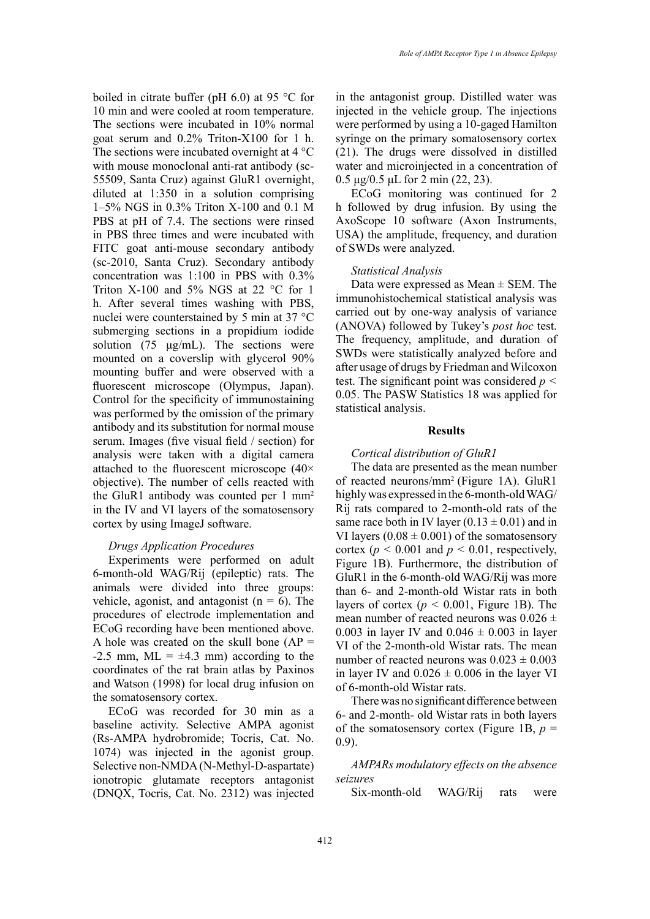boiled in citrate buffer (pH 6.0) at 95 °C for 10 min and were cooled at room temperature. The sections were incubated in 10% normal goat serum and 0.2% Triton-X100 for 1 h. The sections were incubated overnight at 4 °C with mouse monoclonal anti-rat antibody (sc-55509, Santa Cruz) against GluR1 overnight, diluted at 1:350 in a solution comprising 1–5% NGS in 0.3% Triton X-100 and 0.1 M PBS at pH of 7.4. The sections were rinsed in PBS three times and were incubated with FITC goat anti-mouse secondary antibody (sc-2010, Santa Cruz). Secondary antibody concentration was 1:100 in PBS with 0.3% Triton X-100 and 5% NGS at 22  $^{\circ}$ C for 1 h. After several times washing with PBS, nuclei were counterstained by 5 min at 37 °C submerging sections in a propidium iodide solution (75  $\mu$ g/mL). The sections were mounted on a coverslip with glycerol 90% mounting buffer and were observed with a fluorescent microscope (Olympus, Japan). Control for the specificity of immunostaining was performed by the omission of the primary antibody and its substitution for normal mouse serum. Images (five visual field / section) for analysis were taken with a digital camera attached to the fluorescent microscope (40× objective). The number of cells reacted with the GluR1 antibody was counted per  $1 \text{ mm}^2$ in the IV and VI layers of the somatosensory cortex by using ImageJ software.

# *Drugs Application Procedures*

Experiments were performed on adult 6-month-old WAG/Rij (epileptic) rats. The animals were divided into three groups: vehicle, agonist, and antagonist ( $n = 6$ ). The procedures of electrode implementation and ECoG recording have been mentioned above. A hole was created on the skull bone  $AP =$  $-2.5$  mm, ML =  $\pm 4.3$  mm) according to the coordinates of the rat brain atlas by Paxinos and Watson (1998) for local drug infusion on the somatosensory cortex.

ECoG was recorded for 30 min as a baseline activity. Selective AMPA agonist (Rs-AMPA hydrobromide; Tocris, Cat. No. 1074) was injected in the agonist group. Selective non-NMDA (N-Methyl-D-aspartate) ionotropic glutamate receptors antagonist (DNQX, Tocris, Cat. No. 2312) was injected

in the antagonist group. Distilled water was injected in the vehicle group. The injections were performed by using a 10-gaged Hamilton syringe on the primary somatosensory cortex (21). The drugs were dissolved in distilled water and microinjected in a concentration of 0.5 μg/0.5 μL for 2 min (22, 23).

ECoG monitoring was continued for 2 h followed by drug infusion. By using the AxoScope 10 software (Axon Instruments, USA) the amplitude, frequency, and duration of SWDs were analyzed.

## *Statistical Analysis*

Data were expressed as  $Mean \pm SEM$ . The immunohistochemical statistical analysis was carried out by one-way analysis of variance (ANOVA) followed by Tukey's *post hoc* test. The frequency, amplitude, and duration of SWDs were statistically analyzed before and after usage of drugs by Friedman and Wilcoxon test. The significant point was considered *p <*  0.05. The PASW Statistics 18 was applied for statistical analysis.

#### **Results**

# *Cortical distribution of GluR1*

The data are presented as the mean number of reacted neurons/mm2 (Figure 1A). GluR1 highly was expressed in the 6-month-old WAG/ Rij rats compared to 2-month-old rats of the same race both in IV layer  $(0.13 \pm 0.01)$  and in VI layers  $(0.08 \pm 0.001)$  of the somatosensory cortex ( $p < 0.001$  and  $p < 0.01$ , respectively, Figure 1B). Furthermore, the distribution of GluR1 in the 6-month-old WAG/Rij was more than 6- and 2-month-old Wistar rats in both layers of cortex ( $p < 0.001$ , Figure 1B). The mean number of reacted neurons was  $0.026 \pm$ 0.003 in layer IV and  $0.046 \pm 0.003$  in layer VI of the 2-month-old Wistar rats. The mean number of reacted neurons was  $0.023 \pm 0.003$ in layer IV and  $0.026 \pm 0.006$  in the layer VI of 6-month-old Wistar rats.

There was no significant difference between 6- and 2-month- old Wistar rats in both layers of the somatosensory cortex (Figure 1B,  $p =$ 0.9).

# *AMPARs modulatory effects on the absence seizures*

Six-month-old WAG/Rij rats were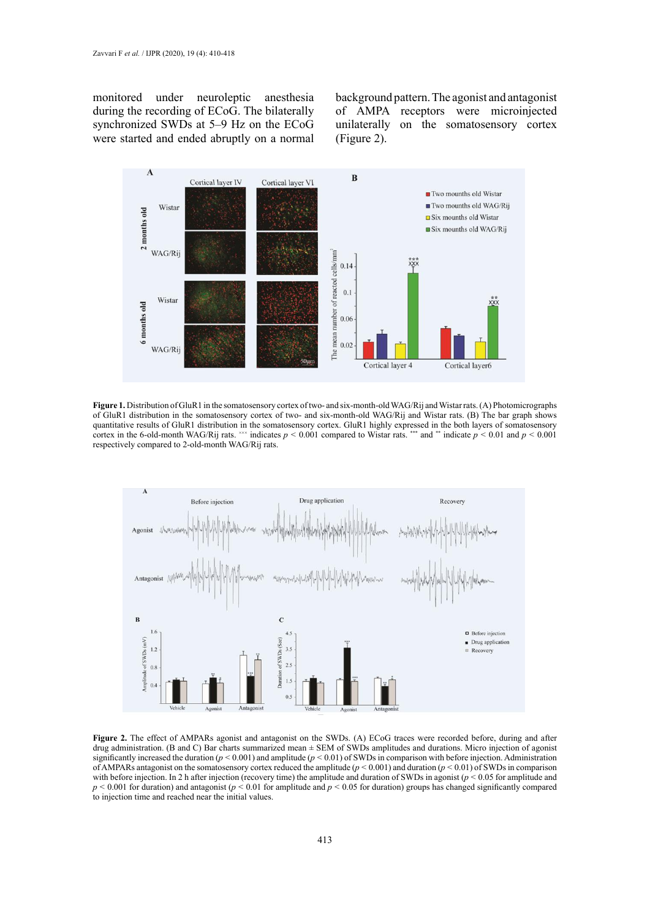monitored under neuroleptic anesthesia during the recording of ECoG. The bilaterally synchronized SWDs at 5–9 Hz on the ECoG were started and ended abruptly on a normal

background pattern. The agonist and antagonist of AMPA receptors were microinjected unilaterally on the somatosensory cortex (Figure 2).



of GluR1 distribution in the somatosensory cortex of two- and six-month-old WAG/Rij and Wistar rats. (B) The bar graph shows cortex in the 6-old-month WAG/Rij rats. <sup>200</sup> indicates  $p < 0.001$  compared to Wistar rats. <sup>\*\*\*</sup> and \*\* indicate  $p < 0.01$  and  $p < 0.001$ respectively compared to 2-old-month WAG/Rij rats.  $\overline{a}$  and  $\overline{b}$  in the 6-old-month WAG/Rij rats. **Figure 1.** Distribution of GluR1 in the somatosensory cortex of two- and six-month-old WAG/Rij and Wistar rats. (A) Photomicrographs quantitative results of GluR1 distribution in the somatosensory cortex. GluR1 highly expressed in the both layers of somatosensory



of AMPARs antagonist on the somatosensory cortex reduced the amplitude  $(p < 0.001)$  and duration  $(p < 0.01)$  of SWDs in comparison<br>of AMPARs antagonist on the somatosensory cortex reduced the amplitude  $(p < 0.001)$  and durat with before injection. In 2 h after injection (recovery time) the amplitude and duration of SWDs in agonist ( $p < 0.05$  for amplitude and  $p \le 0.001$  for duration) and antagonist ( $p \le 0.01$  for amplitude and  $p \le 0.05$  for duration) groups has changed significantly compared to injection time and reached near the initial values. **Figure 2.** The effect of AMPARs agonist and antagonist on the SWDs. (A) ECoG traces were recorded before, during and after drug administration. (B and C) Bar charts summarized mean ± SEM of SWDs amplitudes and durations. Micro injection of agonist significantly increased the duration ( $p < 0.001$ ) and amplitude ( $p < 0.01$ ) of SWDs in comparison with before injection. Administration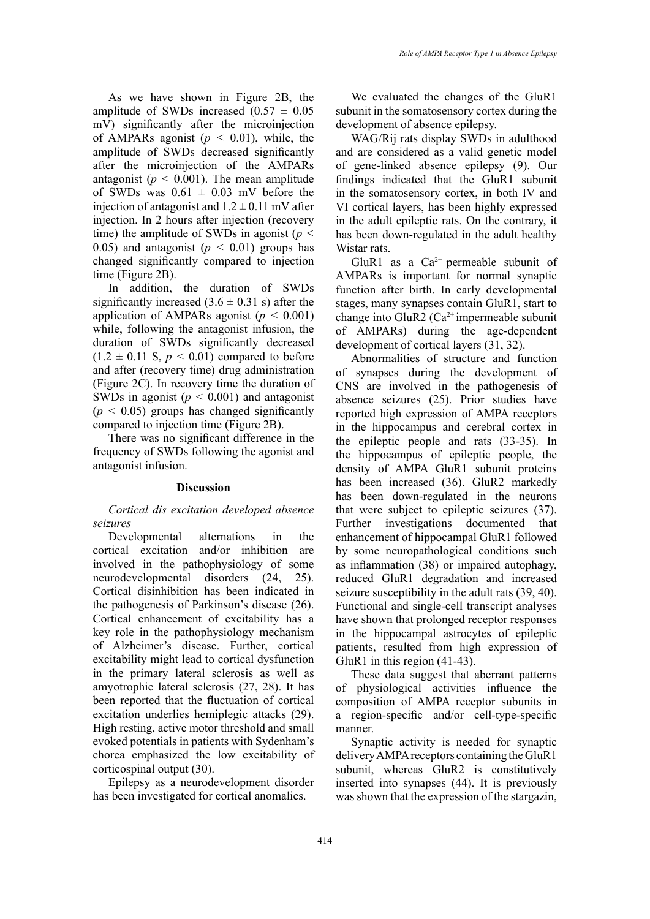As we have shown in Figure 2B, the amplitude of SWDs increased  $(0.57 \pm 0.05)$ mV) significantly after the microinjection of AMPARs agonist  $(p < 0.01)$ , while, the amplitude of SWDs decreased significantly after the microinjection of the AMPARs antagonist ( $p < 0.001$ ). The mean amplitude of SWDs was  $0.61 \pm 0.03$  mV before the injection of antagonist and  $1.2 \pm 0.11$  mV after injection. In 2 hours after injection (recovery time) the amplitude of SWDs in agonist (*p <*  0.05) and antagonist  $(p < 0.01)$  groups has changed significantly compared to injection time (Figure 2B).

In addition, the duration of SWDs significantly increased  $(3.6 \pm 0.31 \text{ s})$  after the application of AMPARs agonist ( $p < 0.001$ ) while, following the antagonist infusion, the duration of SWDs significantly decreased  $(1.2 \pm 0.11 \text{ S}, p \le 0.01)$  compared to before and after (recovery time) drug administration (Figure 2C). In recovery time the duration of SWDs in agonist ( $p < 0.001$ ) and antagonist  $(p < 0.05)$  groups has changed significantly compared to injection time (Figure 2B).

There was no significant difference in the frequency of SWDs following the agonist and antagonist infusion.

## **Discussion**

*Cortical dis excitation developed absence seizures*

Developmental alternations in the cortical excitation and/or inhibition are involved in the pathophysiology of some neurodevelopmental disorders (24, 25). Cortical disinhibition has been indicated in the pathogenesis of Parkinson's disease (26). Cortical enhancement of excitability has a key role in the pathophysiology mechanism of Alzheimer's disease. Further, cortical excitability might lead to cortical dysfunction in the primary lateral sclerosis as well as amyotrophic lateral sclerosis (27, 28). It has been reported that the fluctuation of cortical excitation underlies hemiplegic attacks (29). High resting, active motor threshold and small evoked potentials in patients with Sydenham's chorea emphasized the low excitability of corticospinal output (30).

Epilepsy as a neurodevelopment disorder has been investigated for cortical anomalies.

We evaluated the changes of the GluR1 subunit in the somatosensory cortex during the development of absence epilepsy.

WAG/Rij rats display SWDs in adulthood and are considered as a valid genetic model of gene-linked absence epilepsy (9). Our findings indicated that the GluR1 subunit in the somatosensory cortex, in both IV and VI cortical layers, has been highly expressed in the adult epileptic rats. On the contrary, it has been down-regulated in the adult healthy Wistar rats.

GluR1 as a  $Ca^{2+}$  permeable subunit of AMPARs is important for normal synaptic function after birth. In early developmental stages, many synapses contain GluR1, start to change into GluR2 ( $Ca^{2+}$  impermeable subunit of AMPARs) during the age-dependent development of cortical layers (31, 32).

Abnormalities of structure and function of synapses during the development of CNS are involved in the pathogenesis of absence seizures (25). Prior studies have reported high expression of AMPA receptors in the hippocampus and cerebral cortex in the epileptic people and rats (33-35). In the hippocampus of epileptic people, the density of AMPA GluR1 subunit proteins has been increased (36). GluR2 markedly has been down-regulated in the neurons that were subject to epileptic seizures (37). Further investigations documented that enhancement of hippocampal GluR1 followed by some neuropathological conditions such as inflammation (38) or impaired autophagy, reduced GluR1 degradation and increased seizure susceptibility in the adult rats (39, 40). Functional and single-cell transcript analyses have shown that prolonged receptor responses in the hippocampal astrocytes of epileptic patients, resulted from high expression of GluR1 in this region (41-43).

These data suggest that aberrant patterns of physiological activities influence the composition of AMPA receptor subunits in a region-specific and/or cell-type-specific manner.

Synaptic activity is needed for synaptic delivery AMPA receptors containing the GluR1 subunit, whereas GluR2 is constitutively inserted into synapses (44). It is previously was shown that the expression of the stargazin,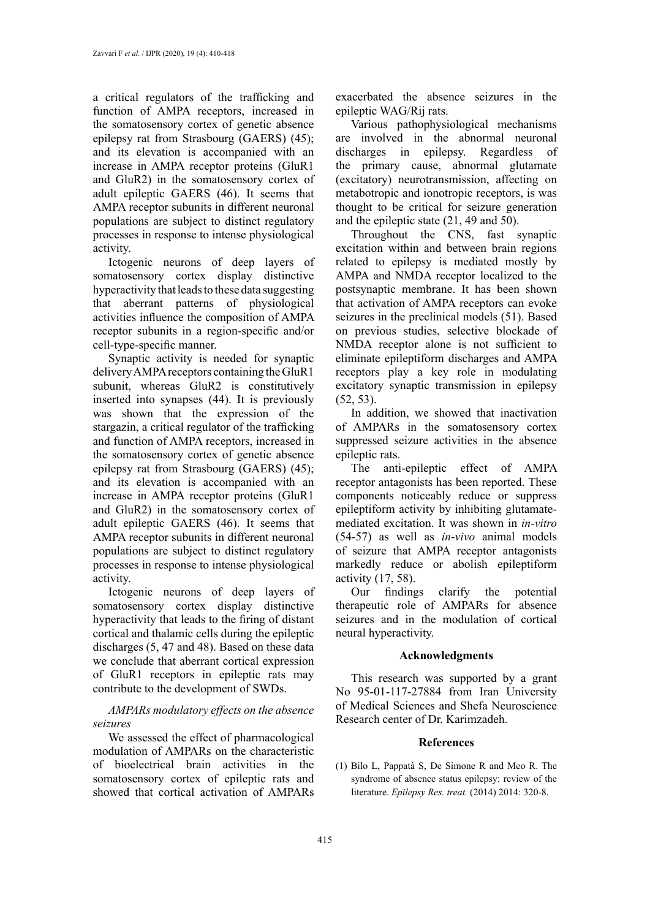a critical regulators of the trafficking and function of AMPA receptors, increased in the somatosensory cortex of genetic absence epilepsy rat from Strasbourg (GAERS) (45); and its elevation is accompanied with an increase in AMPA receptor proteins (GluR1 and GluR2) in the somatosensory cortex of adult epileptic GAERS (46). It seems that AMPA receptor subunits in different neuronal populations are subject to distinct regulatory processes in response to intense physiological activity.

Ictogenic neurons of deep layers of somatosensory cortex display distinctive hyperactivity that leads to these data suggesting that aberrant patterns of physiological activities influence the composition of AMPA receptor subunits in a region-specific and/or cell-type-specific manner.

Synaptic activity is needed for synaptic delivery AMPA receptors containing the GluR1 subunit, whereas GluR2 is constitutively inserted into synapses (44). It is previously was shown that the expression of the stargazin, a critical regulator of the trafficking and function of AMPA receptors, increased in the somatosensory cortex of genetic absence epilepsy rat from Strasbourg (GAERS) (45); and its elevation is accompanied with an increase in AMPA receptor proteins (GluR1 and GluR2) in the somatosensory cortex of adult epileptic GAERS (46). It seems that AMPA receptor subunits in different neuronal populations are subject to distinct regulatory processes in response to intense physiological activity.

Ictogenic neurons of deep layers of somatosensory cortex display distinctive hyperactivity that leads to the firing of distant cortical and thalamic cells during the epileptic discharges (5, 47 and 48). Based on these data we conclude that aberrant cortical expression of GluR1 receptors in epileptic rats may contribute to the development of SWDs.

# *AMPARs modulatory effects on the absence seizures*

We assessed the effect of pharmacological modulation of AMPARs on the characteristic of bioelectrical brain activities in the somatosensory cortex of epileptic rats and showed that cortical activation of AMPARs

exacerbated the absence seizures in the epileptic WAG/Rij rats.

Various pathophysiological mechanisms are involved in the abnormal neuronal discharges in epilepsy. Regardless of the primary cause, abnormal glutamate (excitatory) neurotransmission, affecting on metabotropic and ionotropic receptors, is was thought to be critical for seizure generation and the epileptic state (21, 49 and 50).

Throughout the CNS, fast synaptic excitation within and between brain regions related to epilepsy is mediated mostly by AMPA and NMDA receptor localized to the postsynaptic membrane. It has been shown that activation of AMPA receptors can evoke seizures in the preclinical models (51). Based on previous studies, selective blockade of NMDA receptor alone is not sufficient to eliminate epileptiform discharges and AMPA receptors play a key role in modulating excitatory synaptic transmission in epilepsy (52, 53).

In addition, we showed that inactivation of AMPARs in the somatosensory cortex suppressed seizure activities in the absence epileptic rats.

The anti-epileptic effect of AMPA receptor antagonists has been reported. These components noticeably reduce or suppress epileptiform activity by inhibiting glutamatemediated excitation. It was shown in *in-vitro* (54-57) as well as *in*-*vivo* animal models of seizure that AMPA receptor antagonists markedly reduce or abolish epileptiform activity (17, 58).

Our findings clarify the potential therapeutic role of AMPARs for absence seizures and in the modulation of cortical neural hyperactivity.

# **Acknowledgments**

This research was supported by a grant No 95-01-117-27884 from Iran University of Medical Sciences and Shefa Neuroscience Research center of Dr. Karimzadeh.

# **References**

(1) Bilo L, Pappatà S, De Simone R and Meo R. The syndrome of absence status epilepsy: review of the literature. *Epilepsy Res. treat.* (2014) 2014: 320-8.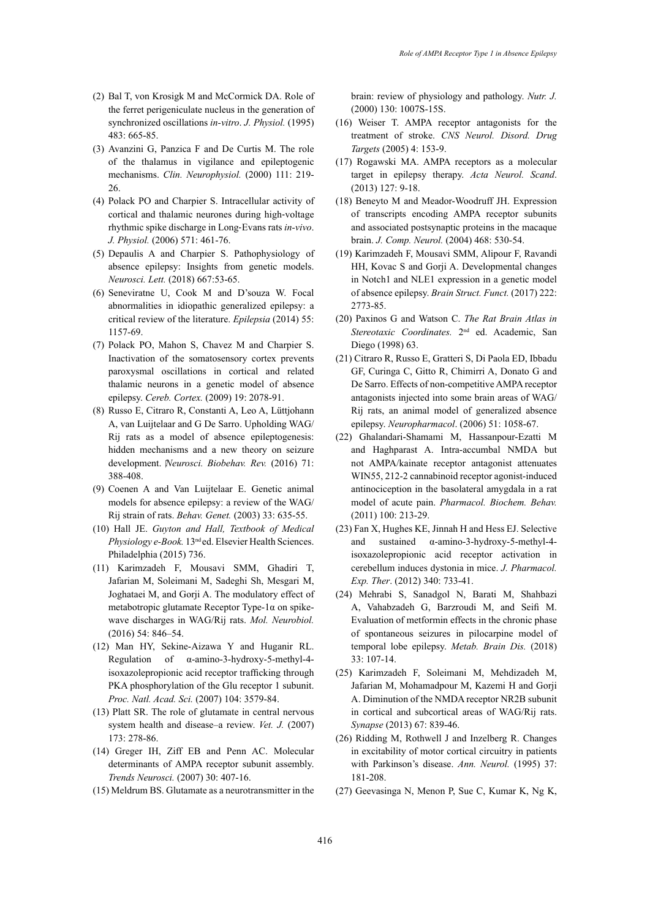- (2) Bal T, von Krosigk M and McCormick DA. Role of the ferret perigeniculate nucleus in the generation of synchronized oscillations *in-vitro*. *J. Physiol.* (1995) 483: 665-85.
- (3) Avanzini G, Panzica F and De Curtis M. The role of the thalamus in vigilance and epileptogenic mechanisms. *Clin. Neurophysiol.* (2000) 111: 219- 26.
- (4) Polack PO and Charpier S. Intracellular activity of cortical and thalamic neurones during high‐voltage rhythmic spike discharge in Long‐Evans rats *in-vivo*. *J. Physiol.* (2006) 571: 461-76.
- (5) Depaulis A and Charpier S. Pathophysiology of absence epilepsy: Insights from genetic models. *Neurosci. Lett.* (2018) 667:53-65.
- (6) Seneviratne U, Cook M and D'souza W. Focal abnormalities in idiopathic generalized epilepsy: a critical review of the literature. *Epilepsia* (2014) 55: 1157-69.
- (7) Polack PO, Mahon S, Chavez M and Charpier S. Inactivation of the somatosensory cortex prevents paroxysmal oscillations in cortical and related thalamic neurons in a genetic model of absence epilepsy. *Cereb. Cortex.* (2009) 19: 2078-91.
- (8) Russo E, Citraro R, Constanti A, Leo A, Lüttjohann A, van Luijtelaar and G De Sarro. Upholding WAG/ Rij rats as a model of absence epileptogenesis: hidden mechanisms and a new theory on seizure development. *Neurosci. Biobehav. Rev.* (2016) 71: 388-408.
- (9) Coenen A and Van Luijtelaar E. Genetic animal models for absence epilepsy: a review of the WAG/ Rij strain of rats. *Behav. Genet.* (2003) 33: 635-55.
- (10) Hall JE. *Guyton and Hall, Textbook of Medical Physiology e-Book.* 13nd ed. Elsevier Health Sciences. Philadelphia (2015) 736.
- (11) Karimzadeh F, Mousavi SMM, Ghadiri T, Jafarian M, Soleimani M, Sadeghi Sh, Mesgari M, Joghataei M, and Gorji A. The modulatory effect of metabotropic glutamate Receptor Type-1 $\alpha$  on spikewave discharges in WAG/Rij rats. *Mol. Neurobiol.* (2016) 54: 846–54.
- (12) Man HY, Sekine-Aizawa Y and Huganir RL. Regulation of α-amino-3-hydroxy-5-methyl-4 isoxazolepropionic acid receptor trafficking through PKA phosphorylation of the Glu receptor 1 subunit. *Proc. Natl. Acad. Sci.* (2007) 104: 3579-84.
- (13) Platt SR. The role of glutamate in central nervous system health and disease–a review. *Vet. J.* (2007) 173: 278-86.
- (14) Greger IH, Ziff EB and Penn AC. Molecular determinants of AMPA receptor subunit assembly. *Trends Neurosci.* (2007) 30: 407-16.
- (15) Meldrum BS. Glutamate as a neurotransmitter in the

brain: review of physiology and pathology. *Nutr. J.* (2000) 130: 1007S-15S.

- (16) Weiser T. AMPA receptor antagonists for the treatment of stroke. *CNS Neurol. Disord. Drug Targets* (2005) 4: 153-9.
- (17) Rogawski MA. AMPA receptors as a molecular target in epilepsy therapy. *Acta Neurol. Scand*. (2013) 127: 9-18.
- (18) Beneyto M and Meador-Woodruff JH. Expression of transcripts encoding AMPA receptor subunits and associated postsynaptic proteins in the macaque brain. *J. Comp. Neurol.* (2004) 468: 530-54.
- (19) Karimzadeh F, Mousavi SMM, Alipour F, Ravandi HH, Kovac S and Gorji A. Developmental changes in Notch1 and NLE1 expression in a genetic model of absence epilepsy. *Brain Struct. Funct.* (2017) 222: 2773-85.
- (20) Paxinos G and Watson C. *The Rat Brain Atlas in Stereotaxic Coordinates.* 2nd ed. Academic, San Diego (1998) 63.
- (21) Citraro R, Russo E, Gratteri S, Di Paola ED, Ibbadu GF, Curinga C, Gitto R, Chimirri A, Donato G and De Sarro. Effects of non-competitive AMPA receptor antagonists injected into some brain areas of WAG/ Rij rats, an animal model of generalized absence epilepsy. *Neuropharmacol*. (2006) 51: 1058-67.
- (22) Ghalandari-Shamami M, Hassanpour-Ezatti M and Haghparast A. Intra-accumbal NMDA but not AMPA/kainate receptor antagonist attenuates WIN55, 212-2 cannabinoid receptor agonist-induced antinociception in the basolateral amygdala in a rat model of acute pain. *Pharmacol. Biochem. Behav.* (2011) 100: 213-29.
- (23) Fan X, Hughes KE, Jinnah H and Hess EJ. Selective and sustained α-amino-3-hydroxy-5-methyl-4 isoxazolepropionic acid receptor activation in cerebellum induces dystonia in mice. *J. Pharmacol. Exp. Ther*. (2012) 340: 733-41.
- (24) Mehrabi S, Sanadgol N, Barati M, Shahbazi A, Vahabzadeh G, Barzroudi M, and Seifi M. Evaluation of metformin effects in the chronic phase of spontaneous seizures in pilocarpine model of temporal lobe epilepsy. *Metab. Brain Dis.* (2018) 33: 107-14.
- (25) Karimzadeh F, Soleimani M, Mehdizadeh M, Jafarian M, Mohamadpour M, Kazemi H and Gorji A. Diminution of the NMDA receptor NR2B subunit in cortical and subcortical areas of WAG/Rij rats. *Synapse* (2013) 67: 839-46.
- (26) Ridding M, Rothwell J and Inzelberg R. Changes in excitability of motor cortical circuitry in patients with Parkinson's disease. *Ann. Neurol.* (1995) 37: 181-208.
- (27) Geevasinga N, Menon P, Sue C, Kumar K, Ng K,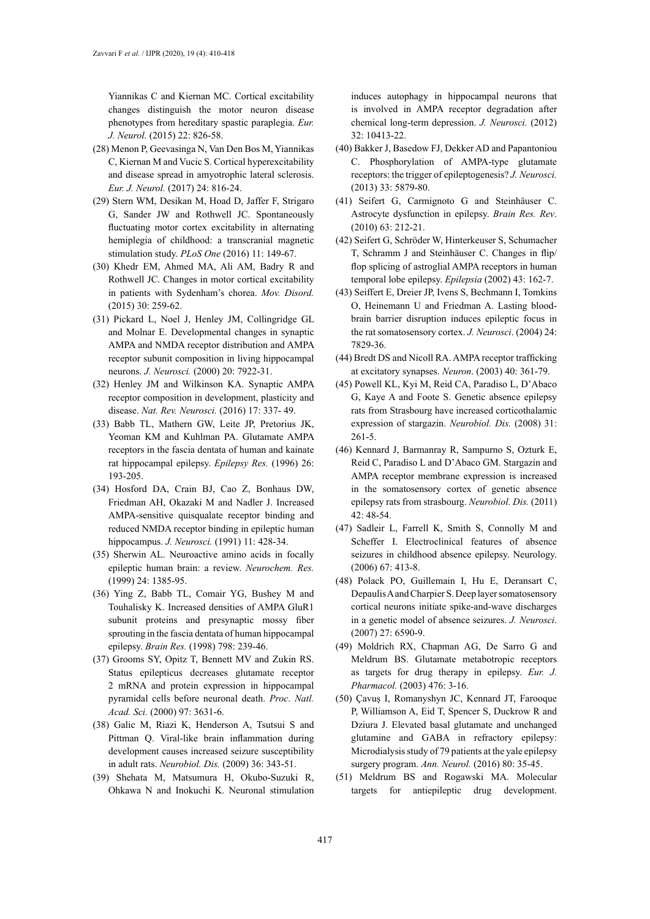Yiannikas C and Kiernan MC. Cortical excitability changes distinguish the motor neuron disease phenotypes from hereditary spastic paraplegia. *Eur. J. Neurol.* (2015) 22: 826-58.

- (28) Menon P, Geevasinga N, Van Den Bos M, Yiannikas C, Kiernan M and Vucic S. Cortical hyperexcitability and disease spread in amyotrophic lateral sclerosis. *Eur. J. Neurol.* (2017) 24: 816-24.
- (29) Stern WM, Desikan M, Hoad D, Jaffer F, Strigaro G, Sander JW and Rothwell JC. Spontaneously fluctuating motor cortex excitability in alternating hemiplegia of childhood: a transcranial magnetic stimulation study. *PLoS One* (2016) 11: 149-67.
- (30) Khedr EM, Ahmed MA, Ali AM, Badry R and Rothwell JC. Changes in motor cortical excitability in patients with Sydenham's chorea. *Mov. Disord.* (2015) 30: 259-62.
- (31) Pickard L, Noel J, Henley JM, Collingridge GL and Molnar E. Developmental changes in synaptic AMPA and NMDA receptor distribution and AMPA receptor subunit composition in living hippocampal neurons. *J. Neurosci.* (2000) 20: 7922-31.
- (32) Henley JM and Wilkinson KA. Synaptic AMPA receptor composition in development, plasticity and disease. *Nat. Rev. Neurosci.* (2016) 17: 337- 49.
- (33) Babb TL, Mathern GW, Leite JP, Pretorius JK, Yeoman KM and Kuhlman PA. Glutamate AMPA receptors in the fascia dentata of human and kainate rat hippocampal epilepsy. *Epilepsy Res.* (1996) 26: 193-205.
- (34) Hosford DA, Crain BJ, Cao Z, Bonhaus DW, Friedman AH, Okazaki M and Nadler J. Increased AMPA-sensitive quisqualate receptor binding and reduced NMDA receptor binding in epileptic human hippocampus. *J. Neurosci.* (1991) 11: 428-34.
- (35) Sherwin AL. Neuroactive amino acids in focally epileptic human brain: a review. *Neurochem. Res.* (1999) 24: 1385-95.
- (36) Ying Z, Babb TL, Comair YG, Bushey M and Touhalisky K. Increased densities of AMPA GluR1 subunit proteins and presynaptic mossy fiber sprouting in the fascia dentata of human hippocampal epilepsy. *Brain Res.* (1998) 798: 239-46.
- (37) Grooms SY, Opitz T, Bennett MV and Zukin RS. Status epilepticus decreases glutamate receptor 2 mRNA and protein expression in hippocampal pyramidal cells before neuronal death. *Proc*. *Natl. Acad. Sci.* (2000) 97: 3631-6.
- (38) Galic M, Riazi K, Henderson A, Tsutsui S and Pittman Q. Viral-like brain inflammation during development causes increased seizure susceptibility in adult rats. *Neurobiol. Dis.* (2009) 36: 343-51.
- (39) Shehata M, Matsumura H, Okubo-Suzuki R, Ohkawa N and Inokuchi K. Neuronal stimulation

induces autophagy in hippocampal neurons that is involved in AMPA receptor degradation after chemical long-term depression. *J. Neurosci.* (2012) 32: 10413-22.

- (40) Bakker J, Basedow FJ, Dekker AD and Papantoniou C. Phosphorylation of AMPA-type glutamate receptors: the trigger of epileptogenesis? *J. Neurosci.* (2013) 33: 5879-80.
- (41) Seifert G, Carmignoto G and Steinhäuser C. Astrocyte dysfunction in epilepsy. *Brain Res. Rev*. (2010) 63: 212-21.
- (42) Seifert G, Schröder W, Hinterkeuser S, Schumacher T, Schramm J and Steinhäuser C. Changes in flip/ flop splicing of astroglial AMPA receptors in human temporal lobe epilepsy. *Epilepsia* (2002) 43: 162-7.
- (43) Seiffert E, Dreier JP, Ivens S, Bechmann I, Tomkins O, Heinemann U and Friedman A. Lasting bloodbrain barrier disruption induces epileptic focus in the rat somatosensory cortex. *J. Neurosci*. (2004) 24: 7829-36.
- (44) Bredt DS and Nicoll RA. AMPA receptor trafficking at excitatory synapses. *Neuron*. (2003) 40: 361-79.
- (45) Powell KL, Kyi M, Reid CA, Paradiso L, D'Abaco G, Kaye A and Foote S. Genetic absence epilepsy rats from Strasbourg have increased corticothalamic expression of stargazin. *Neurobiol. Dis.* (2008) 31: 261-5.
- (46) Kennard J, Barmanray R, Sampurno S, Ozturk E, Reid C, Paradiso L and D'Abaco GM. Stargazin and AMPA receptor membrane expression is increased in the somatosensory cortex of genetic absence epilepsy rats from strasbourg. *Neurobiol. Dis.* (2011) 42: 48-54.
- (47) Sadleir L, Farrell K, Smith S, Connolly M and Scheffer I. Electroclinical features of absence seizures in childhood absence epilepsy. Neurology. (2006) 67: 413-8.
- (48) Polack PO, Guillemain I, Hu E, Deransart C, Depaulis A and Charpier S. Deep layer somatosensory cortical neurons initiate spike-and-wave discharges in a genetic model of absence seizures. *J. Neurosci*. (2007) 27: 6590-9.
- (49) Moldrich RX, Chapman AG, De Sarro G and Meldrum BS. Glutamate metabotropic receptors as targets for drug therapy in epilepsy. *Eur. J. Pharmacol.* (2003) 476: 3-16.
- (50) Çavuş I, Romanyshyn JC, Kennard JT, Farooque P, Williamson A, Eid T, Spencer S, Duckrow R and Dziura J. Elevated basal glutamate and unchanged glutamine and GABA in refractory epilepsy: Microdialysis study of 79 patients at the yale epilepsy surgery program. *Ann. Neurol.* (2016) 80: 35-45.
- (51) Meldrum BS and Rogawski MA. Molecular targets for antiepileptic drug development.